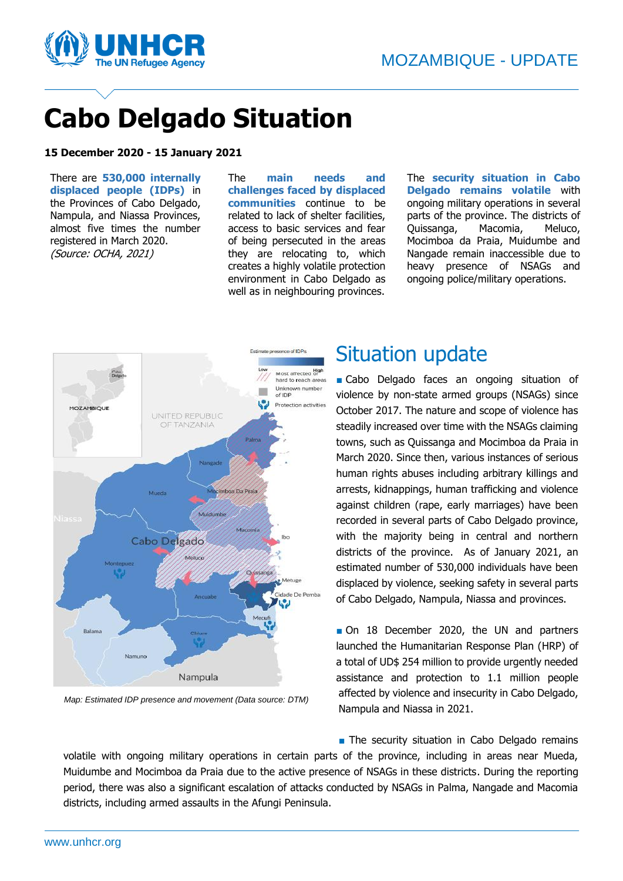

# **Cabo Delgado Situation**

#### **15 December 2020 - 15 January 2021**

There are **530,000 internally displaced people (IDPs)** in the Provinces of Cabo Delgado, Nampula, and Niassa Provinces, almost five times the number registered in March 2020. (Source: OCHA, 2021)

The **main needs and challenges faced by displaced communities** continue to be related to lack of shelter facilities, access to basic services and fear of being persecuted in the areas they are relocating to, which creates a highly volatile protection environment in Cabo Delgado as well as in neighbouring provinces.

The **security situation in Cabo Delgado remains volatile** with ongoing military operations in several parts of the province. The districts of Quissanga, Macomia, Meluco, Mocimboa da Praia, Muidumbe and Nangade remain inaccessible due to heavy presence of NSAGs and ongoing police/military operations.



*Map: Estimated IDP presence and movement (Data source: DTM)*

#### Situation update

■ Cabo Delgado faces an ongoing situation of violence by non-state armed groups (NSAGs) since October 2017. The nature and scope of violence has steadily increased over time with the NSAGs claiming towns, such as Quissanga and Mocimboa da Praia in March 2020. Since then, various instances of serious human rights abuses including arbitrary killings and arrests, kidnappings, human trafficking and violence against children (rape, early marriages) have been recorded in several parts of Cabo Delgado province, with the majority being in central and northern districts of the province. As of January 2021, an estimated number of 530,000 individuals have been displaced by violence, seeking safety in several parts of Cabo Delgado, Nampula, Niassa and provinces.

■ On 18 December 2020, the UN and partners launched the Humanitarian Response Plan (HRP) of a total of UD\$ 254 million to provide urgently needed assistance and protection to 1.1 million people affected by violence and insecurity in Cabo Delgado, Nampula and Niassa in 2021.

■ The security situation in Cabo Delgado remains

volatile with ongoing military operations in certain parts of the province, including in areas near Mueda, Muidumbe and Mocimboa da Praia due to the active presence of NSAGs in these districts. During the reporting period, there was also a significant escalation of attacks conducted by NSAGs in Palma, Nangade and Macomia districts, including armed assaults in the Afungi Peninsula.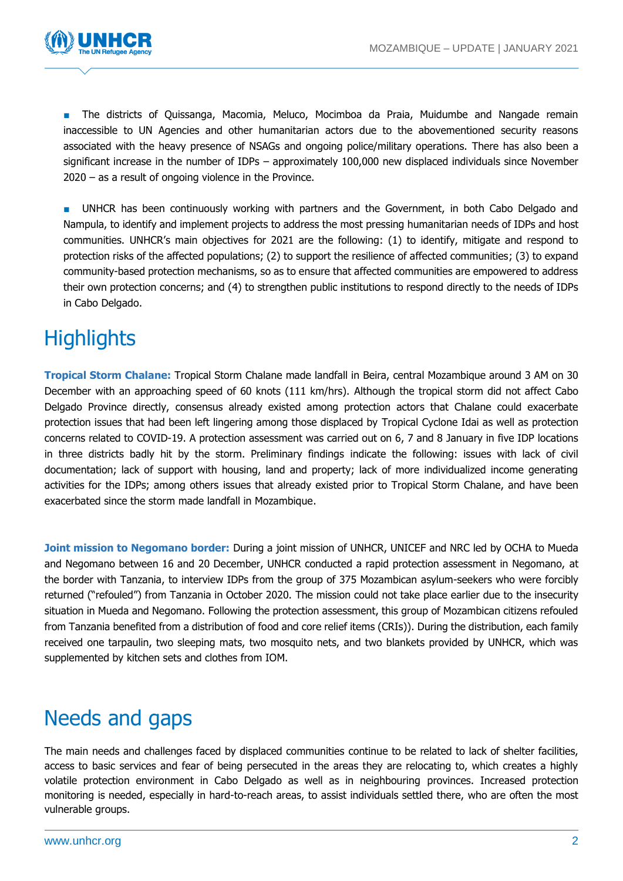

■ The districts of Quissanga, Macomia, Meluco, Mocimboa da Praia, Muidumbe and Nangade remain inaccessible to UN Agencies and other humanitarian actors due to the abovementioned security reasons associated with the heavy presence of NSAGs and ongoing police/military operations. There has also been a significant increase in the number of IDPs – approximately 100,000 new displaced individuals since November 2020 – as a result of ongoing violence in the Province.

■ UNHCR has been continuously working with partners and the Government, in both Cabo Delgado and Nampula, to identify and implement projects to address the most pressing humanitarian needs of IDPs and host communities. UNHCR's main objectives for 2021 are the following: (1) to identify, mitigate and respond to protection risks of the affected populations; (2) to support the resilience of affected communities; (3) to expand community-based protection mechanisms, so as to ensure that affected communities are empowered to address their own protection concerns; and (4) to strengthen public institutions to respond directly to the needs of IDPs in Cabo Delgado.

## **Highlights**

**Tropical Storm Chalane:** Tropical Storm Chalane made landfall in Beira, central Mozambique around 3 AM on 30 December with an approaching speed of 60 knots (111 km/hrs). Although the tropical storm did not affect Cabo Delgado Province directly, consensus already existed among protection actors that Chalane could exacerbate protection issues that had been left lingering among those displaced by Tropical Cyclone Idai as well as protection concerns related to COVID-19. A protection assessment was carried out on 6, 7 and 8 January in five IDP locations in three districts badly hit by the storm. Preliminary findings indicate the following: issues with lack of civil documentation; lack of support with housing, land and property; lack of more individualized income generating activities for the IDPs; among others issues that already existed prior to Tropical Storm Chalane, and have been exacerbated since the storm made landfall in Mozambique.

**Joint mission to Negomano border:** During a joint mission of UNHCR, UNICEF and NRC led by OCHA to Mueda and Negomano between 16 and 20 December, UNHCR conducted a rapid protection assessment in Negomano, at the border with Tanzania, to interview IDPs from the group of 375 Mozambican asylum-seekers who were forcibly returned ("refouled") from Tanzania in October 2020. The mission could not take place earlier due to the insecurity situation in Mueda and Negomano. Following the protection assessment, this group of Mozambican citizens refouled from Tanzania benefited from a distribution of food and core relief items (CRIs)). During the distribution, each family received one tarpaulin, two sleeping mats, two mosquito nets, and two blankets provided by UNHCR, which was supplemented by kitchen sets and clothes from IOM.

#### Needs and gaps

The main needs and challenges faced by displaced communities continue to be related to lack of shelter facilities, access to basic services and fear of being persecuted in the areas they are relocating to, which creates a highly volatile protection environment in Cabo Delgado as well as in neighbouring provinces. Increased protection monitoring is needed, especially in hard-to-reach areas, to assist individuals settled there, who are often the most vulnerable groups.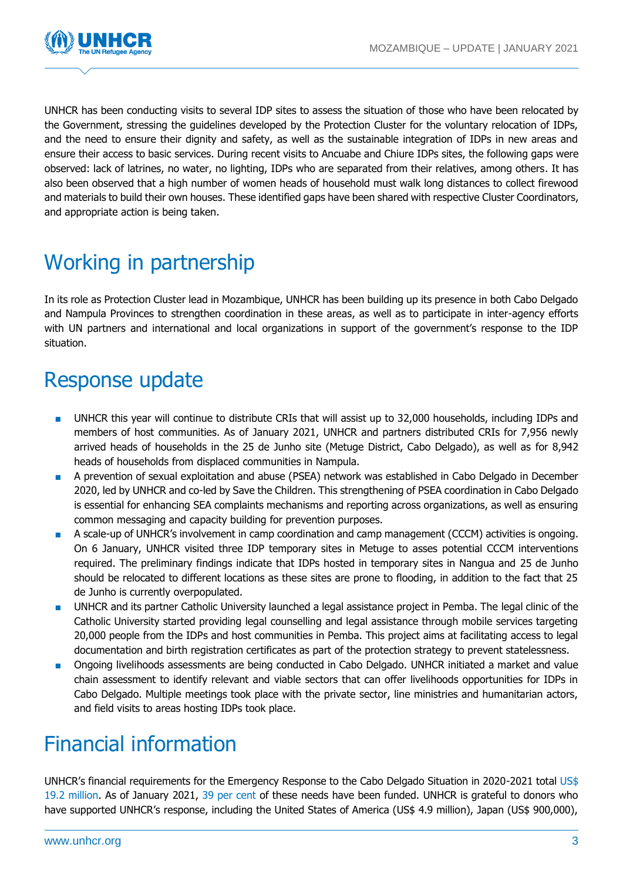

UNHCR has been conducting visits to several IDP sites to assess the situation of those who have been relocated by the Government, stressing the guidelines developed by the Protection Cluster for the voluntary relocation of IDPs, and the need to ensure their dignity and safety, as well as the sustainable integration of IDPs in new areas and ensure their access to basic services. During recent visits to Ancuabe and Chiure IDPs sites, the following gaps were observed: lack of latrines, no water, no lighting, IDPs who are separated from their relatives, among others. It has also been observed that a high number of women heads of household must walk long distances to collect firewood and materials to build their own houses. These identified gaps have been shared with respective Cluster Coordinators, and appropriate action is being taken.

### Working in partnership

In its role as Protection Cluster lead in Mozambique, UNHCR has been building up its presence in both Cabo Delgado and Nampula Provinces to strengthen coordination in these areas, as well as to participate in inter-agency efforts with UN partners and international and local organizations in support of the government's response to the IDP situation.

#### Response update

- UNHCR this year will continue to distribute CRIs that will assist up to 32,000 households, including IDPs and members of host communities. As of January 2021, UNHCR and partners distributed CRIs for 7,956 newly arrived heads of households in the 25 de Junho site (Metuge District, Cabo Delgado), as well as for 8,942 heads of households from displaced communities in Nampula.
- A prevention of sexual exploitation and abuse (PSEA) network was established in Cabo Delgado in December 2020, led by UNHCR and co-led by Save the Children. This strengthening of PSEA coordination in Cabo Delgado is essential for enhancing SEA complaints mechanisms and reporting across organizations, as well as ensuring common messaging and capacity building for prevention purposes.
- A scale-up of UNHCR's involvement in camp coordination and camp management (CCCM) activities is ongoing. On 6 January, UNHCR visited three IDP temporary sites in Metuge to asses potential CCCM interventions required. The preliminary findings indicate that IDPs hosted in temporary sites in Nangua and 25 de Junho should be relocated to different locations as these sites are prone to flooding, in addition to the fact that 25 de Junho is currently overpopulated.
- UNHCR and its partner Catholic University launched a legal assistance project in Pemba. The legal clinic of the Catholic University started providing legal counselling and legal assistance through mobile services targeting 20,000 people from the IDPs and host communities in Pemba. This project aims at facilitating access to legal documentation and birth registration certificates as part of the protection strategy to prevent statelessness.
- Ongoing livelihoods assessments are being conducted in Cabo Delgado. UNHCR initiated a market and value chain assessment to identify relevant and viable sectors that can offer livelihoods opportunities for IDPs in Cabo Delgado. Multiple meetings took place with the private sector, line ministries and humanitarian actors, and field visits to areas hosting IDPs took place.

### Financial information

UNHCR's financial requirements for the Emergency Response to the Cabo Delgado Situation in 2020-2021 total US\$ 19.2 million. As of January 2021, 39 per cent of these needs have been funded. UNHCR is grateful to donors who have supported UNHCR's response, including the United States of America (US\$ 4.9 million), Japan (US\$ 900,000),